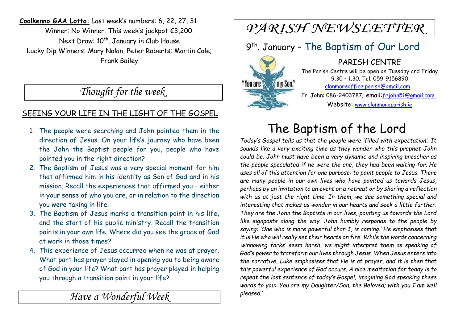**Coolkenno GAA Lotto:** Last week's numbers: 6, 22, 27, 31 Winner: No Winner. This week's jackpot €3,200. Next Draw: 10<sup>th</sup>. January in Club House Lucky Dip Winners: Mary Nolan, Peter Roberts; Martin Cole; Frank Bailey

### *Thought for the week*

#### SEEING YOUR LIFE IN THE LIGHT OF THE GOSPEL

- 1. The people were searching and John pointed them in the direction of Jesus. On your life's journey who have been the John the Baptist people for you, people who have pointed you in the right direction?
- 2. The Baptism of Jesus was a very special moment for him that affirmed him in his identity as Son of God and in his mission. Recall the experiences that affirmed you – either in your sense of who you are, or in relation to the direction you were taking in life.
- 3. The Baptism of Jesus marks a transition point in his life, and the start of his public ministry. Recall the transition points in your own life. Where did you see the grace of God at work in those times?
- 4. This experience of Jesus occurred when he was at prayer. What part has prayer played in opening you to being aware of God in your life? What part has prayer played in helping you through a transition point in your life?

*Have a Wonderful Week* 

# PARISH NEWSLETTER

## 9 th . January – The Baptism of Our Lord

PARISH CENTRE The Parish Centre will be open on Tuesday and Friday 9.30 – 1.30. Tel. 059-9156890 **May Son."**  clonmoreoffice.parish@gmail.com Fr. John: 086-2403787; email:frjohn51@gmail.com. Website: www.clonmoreparish.ie

# The Baptism of the Lord

*Today's Gospel tells us that the people were 'filled with expectation'. It sounds like a very exciting time as they wonder who this prophet John could be. John must have been a very dynamic and inspiring preacher as the people speculated if he were the one, they had been waiting for. He uses all of this attention for one purpose: to point people to Jesus. There are many people in our own lives who have pointed us towards Jesus, perhaps by an invitation to an event or a retreat or by sharing a reflection with us at just the right time. In them, we see something special and interesting that makes us wonder in our hearts and seek a little further. They are the John the Baptists in our lives, pointing us towards the Lord like signposts along the way. John humbly responds to the people by saying: 'One who is more powerful than I, is coming.' He emphasises that it is He who will really set their hearts on fire. While the words concerning 'winnowing forks' seem harsh, we might interpret them as speaking of God's power to transform our lives through Jesus. When Jesus enters into the narrative, Luke emphasises that He is at prayer, and it is then that this powerful experience of God occurs. A nice meditation for today is to repeat the last sentence of today's Gospel, imagining God speaking these words to you: 'You are my Daughter/Son, the Beloved; with you I am well pleased.'*